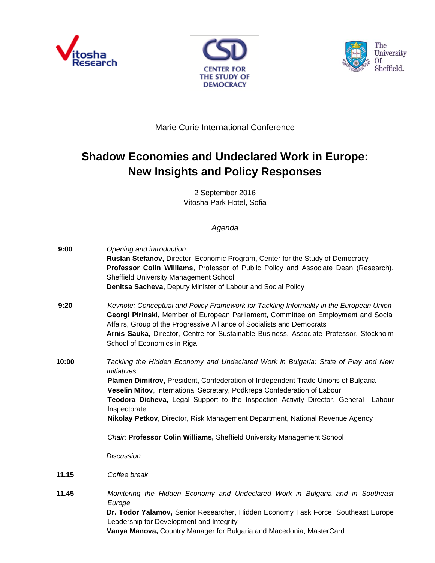





Marie Curie International Conference

## **Shadow Economies and Undeclared Work in Europe: New Insights and Policy Responses**

2 September 2016 Vitosha Park Hotel, Sofia

## *Agenda*

| 9:00  | Opening and introduction<br>Ruslan Stefanov, Director, Economic Program, Center for the Study of Democracy<br>Professor Colin Williams, Professor of Public Policy and Associate Dean (Research),<br>Sheffield University Management School<br>Denitsa Sacheva, Deputy Minister of Labour and Social Policy                                                                                                                                                                                                                                                             |
|-------|-------------------------------------------------------------------------------------------------------------------------------------------------------------------------------------------------------------------------------------------------------------------------------------------------------------------------------------------------------------------------------------------------------------------------------------------------------------------------------------------------------------------------------------------------------------------------|
| 9:20  | Keynote: Conceptual and Policy Framework for Tackling Informality in the European Union<br>Georgi Pirinski, Member of European Parliament, Committee on Employment and Social<br>Affairs, Group of the Progressive Alliance of Socialists and Democrats<br>Arnis Sauka, Director, Centre for Sustainable Business, Associate Professor, Stockholm<br>School of Economics in Riga                                                                                                                                                                                        |
| 10:00 | Tackling the Hidden Economy and Undeclared Work in Bulgaria: State of Play and New<br><i><b>Initiatives</b></i><br>Plamen Dimitrov, President, Confederation of Independent Trade Unions of Bulgaria<br>Veselin Mitov, International Secretary, Podkrepa Confederation of Labour<br>Teodora Dicheva, Legal Support to the Inspection Activity Director, General Labour<br>Inspectorate<br>Nikolay Petkov, Director, Risk Management Department, National Revenue Agency<br>Chair. Professor Colin Williams, Sheffield University Management School<br><b>Discussion</b> |
| 11.15 | Coffee break                                                                                                                                                                                                                                                                                                                                                                                                                                                                                                                                                            |
| 11.45 | Monitoring the Hidden Economy and Undeclared Work in Bulgaria and in Southeast<br>Europe<br>Dr. Todor Yalamov, Senior Researcher, Hidden Economy Task Force, Southeast Europe<br>Leadership for Development and Integrity<br>Vanya Manova, Country Manager for Bulgaria and Macedonia, MasterCard                                                                                                                                                                                                                                                                       |